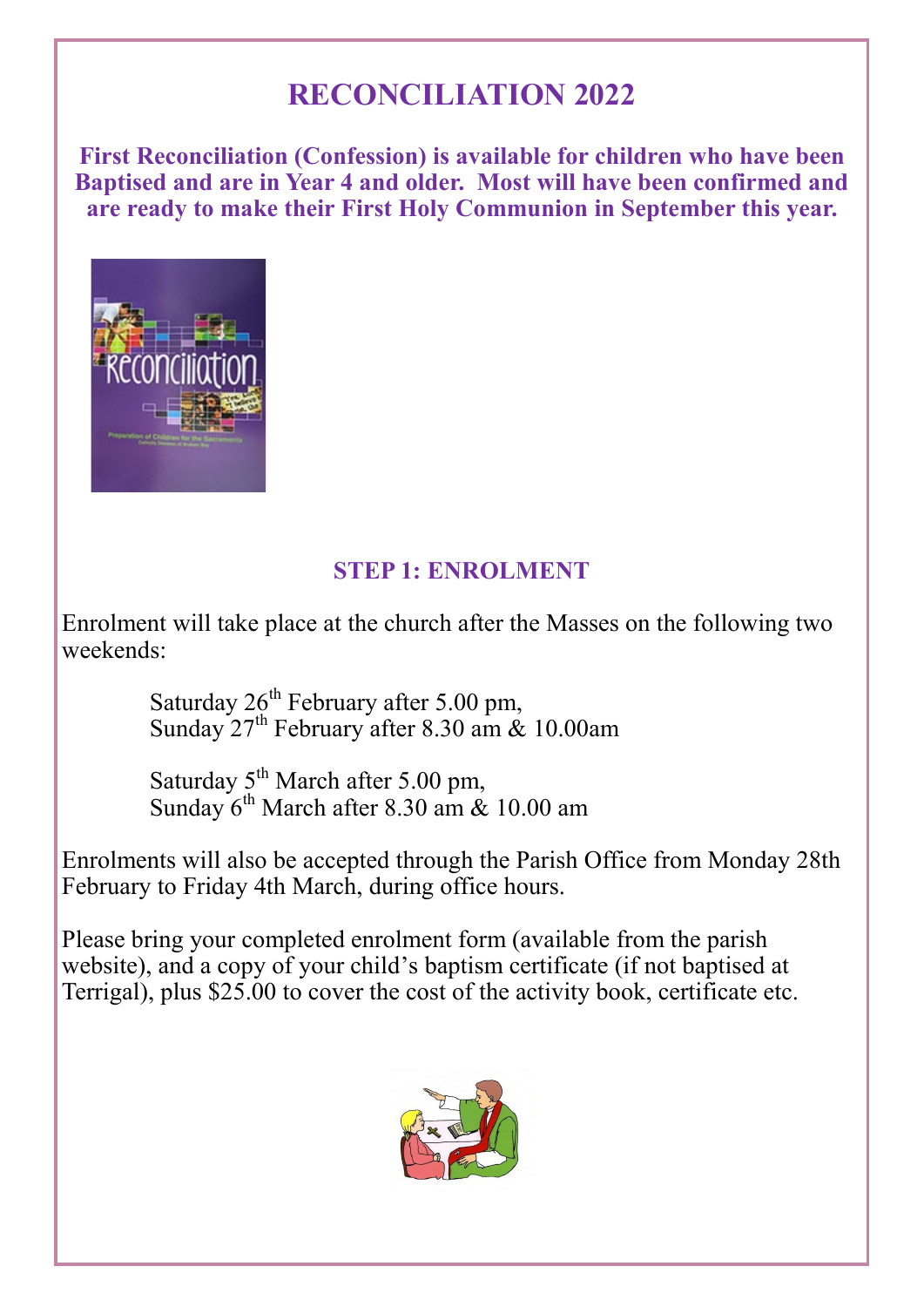# **RECONCILIATION 2022**

**First Reconciliation (Confession) is available for children who have been Baptised and are in Year 4 and older. Most will have been confirmed and are ready to make their First Holy Communion in September this year.** 



# **STEP 1: ENROLMENT**

Enrolment will take place at the church after the Masses on the following two weekends:

> Saturday  $26^{th}$  February after 5.00 pm, Sunday  $27^{th}$  February after 8.30 am  $\&$  10.00am

Saturday  $5^{th}$  March after 5.00 pm, Sunday  $6^{th}$  March after 8.30 am  $\&$  10.00 am

Enrolments will also be accepted through the Parish Office from Monday 28th February to Friday 4th March, during office hours.

Please bring your completed enrolment form (available from the parish website), and a copy of your child's baptism certificate (if not baptised at Terrigal), plus \$25.00 to cover the cost of the activity book, certificate etc.

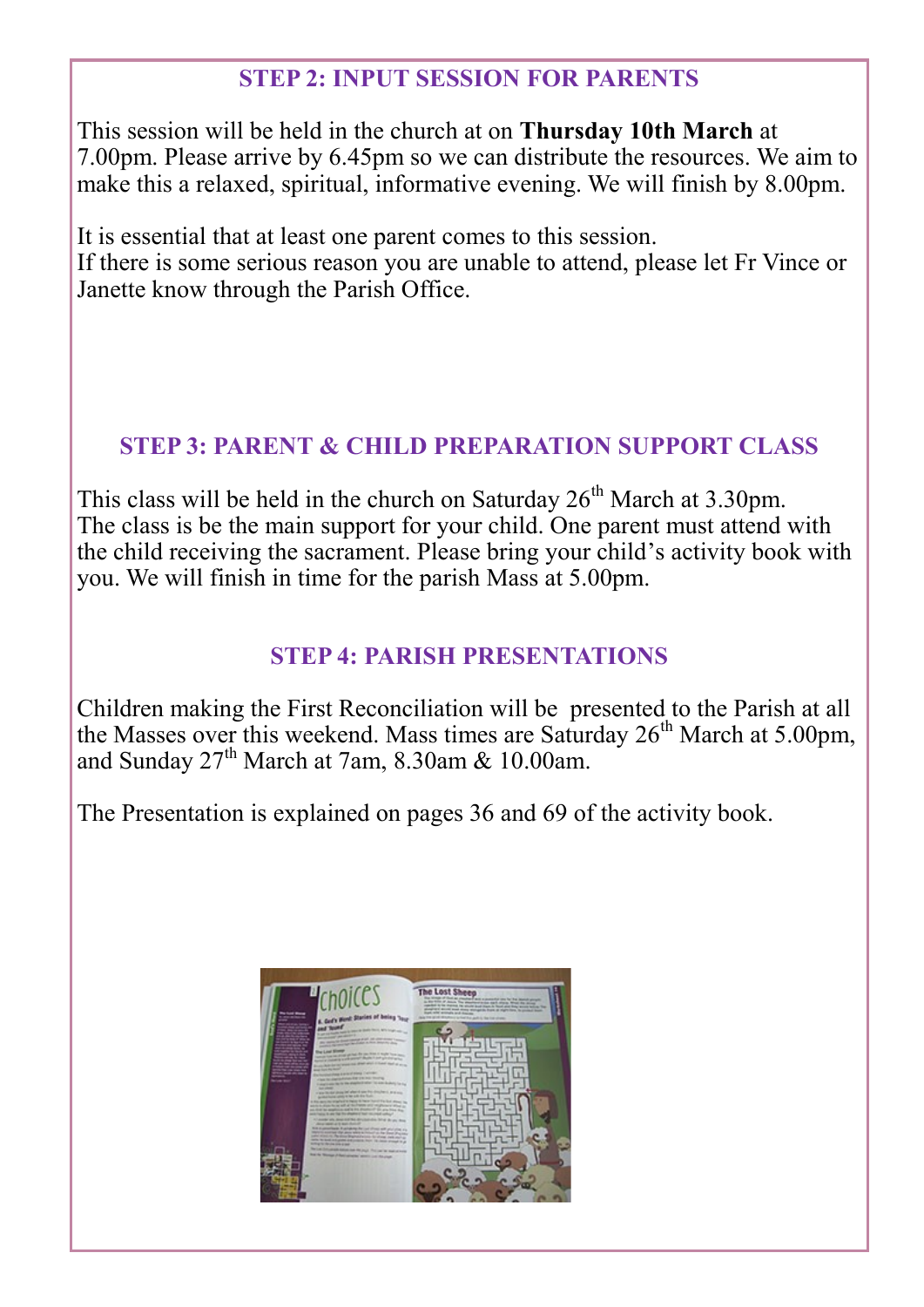## **STEP 2: INPUT SESSION FOR PARENTS**

This session will be held in the church at on **Thursday 10th March** at 7.00pm. Please arrive by 6.45pm so we can distribute the resources. We aim to make this a relaxed, spiritual, informative evening. We will finish by 8.00pm.

It is essential that at least one parent comes to this session. If there is some serious reason you are unable to attend, please let Fr Vince or Janette know through the Parish Office.

#### **STEP 3: PARENT & CHILD PREPARATION SUPPORT CLASS**

This class will be held in the church on Saturday  $26<sup>th</sup>$  March at 3.30pm. The class is be the main support for your child. One parent must attend with the child receiving the sacrament. Please bring your child's activity book with you. We will finish in time for the parish Mass at 5.00pm.

## **STEP 4: PARISH PRESENTATIONS**

Children making the First Reconciliation will be presented to the Parish at all the Masses over this weekend. Mass times are Saturday  $26<sup>th</sup>$  March at 5.00pm, and Sunday  $27<sup>th</sup>$  March at 7am, 8.30am & 10.00am.

The Presentation is explained on pages 36 and 69 of the activity book.